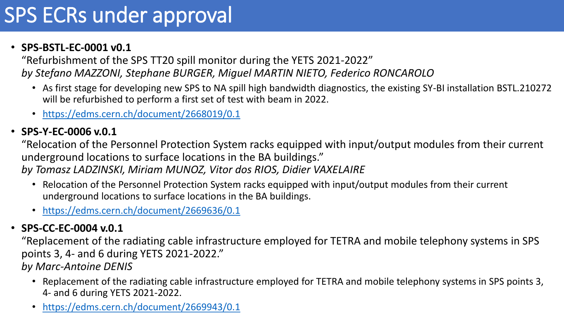## SPS ECRs under approval

#### • **SPS-BSTL-EC-0001 v0.1**

"Refurbishment of the SPS TT20 spill monitor during the YETS 2021-2022" *by Stefano MAZZONI, Stephane BURGER, Miguel MARTIN NIETO, Federico RONCAROLO*

- As first stage for developing new SPS to NA spill high bandwidth diagnostics, the existing SY-BI installation BSTL.210272 will be refurbished to perform a first set of test with beam in 2022.
- <https://edms.cern.ch/document/2668019/0.1>

## • **SPS-Y-EC-0006 v.0.1**

"Relocation of the Personnel Protection System racks equipped with input/output modules from their current underground locations to surface locations in the BA buildings."

*by Tomasz LADZINSKI, Miriam MUNOZ, Vitor dos RIOS, Didier VAXELAIRE*

- Relocation of the Personnel Protection System racks equipped with input/output modules from their current underground locations to surface locations in the BA buildings.
- <https://edms.cern.ch/document/2669636/0.1>

## • **SPS-CC-EC-0004 v.0.1**

"Replacement of the radiating cable infrastructure employed for TETRA and mobile telephony systems in SPS points 3, 4- and 6 during YETS 2021-2022."

*by Marc-Antoine DENIS*

- Replacement of the radiating cable infrastructure employed for TETRA and mobile telephony systems in SPS points 3, 4- and 6 during YETS 2021-2022.
- <https://edms.cern.ch/document/2669943/0.1>